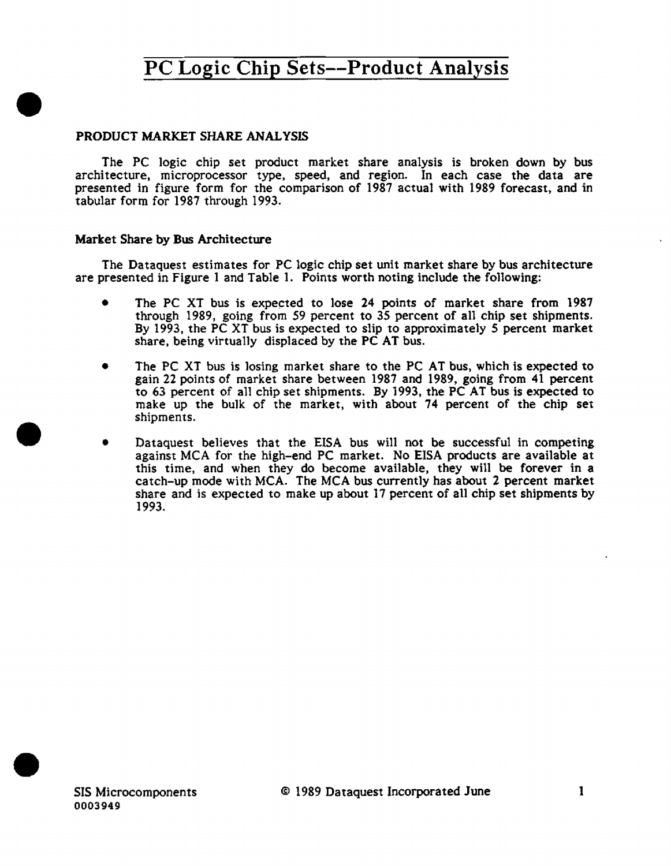### PRODUCT MARKET SHARE ANALYSIS

•

•

•

The PC logic chip set product market share analysis is broken down by bus architecture, microprocessor type, speed, and region. In each case the data are presented in figure form for the comparison of 1987 actual with 1989 forecast, and in tabular form for 1987 through 1993.

#### Market Share by Bus Architecture

The Dataquest estimates for PC logic chip set unit market share by bus architecture are presented in Figure 1 and Table 1. Points worth noting include the following:

- The PC XT bus is expected to lose 24 points of market share from 1987 through 1989, going from 59 percent to 35 percent of all chip set shipments. By 1993, the PC XT bus is expected to slip to approximately *5* percent market share, being virtua11y displaced by the PC AT bus.
- The PC XT bus is losing market share to the PC AT bus, which is expected to gain 22 points of market share between 1987 and 1989, going from 41 percent to 63 percent of all chip set shipments. By 1993, the PC AT bus is expected to make up the bulk of the market, with about 74 percent of the chip set shipments .
- Dataquest believes that the EISA bus will not be successful in competing against MCA for the high-end PC market. No EISA products are available at this time, and when they do become available, they will be forever in a catch-up mode with MCA. The MCA bus currently has about 2 percent market share and is expected to make up about 17 percent of all chip set shipments by 1993.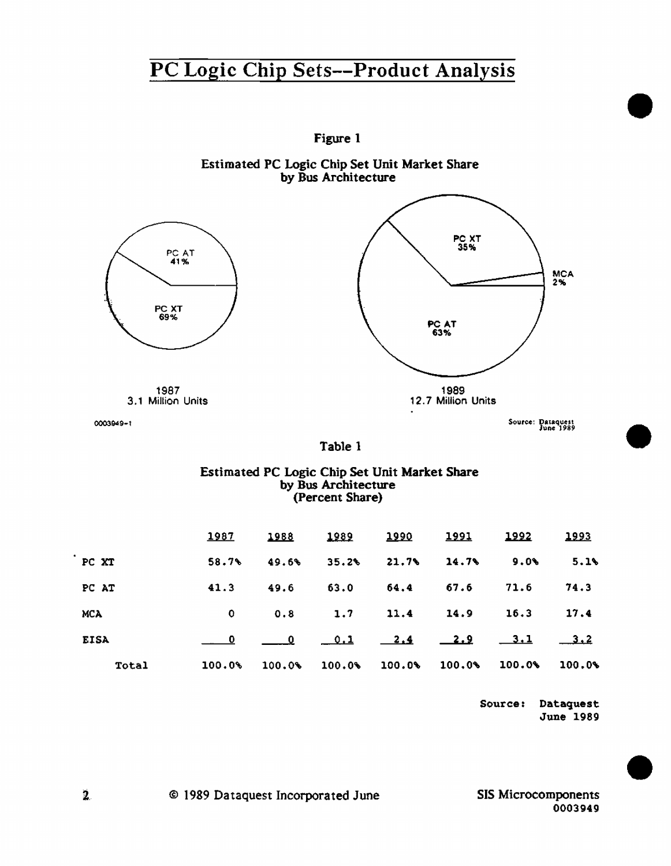

Source: Dataquest June 1989 •

•

•

SIS Microcomponents 0003949

 $2<sub>1</sub>$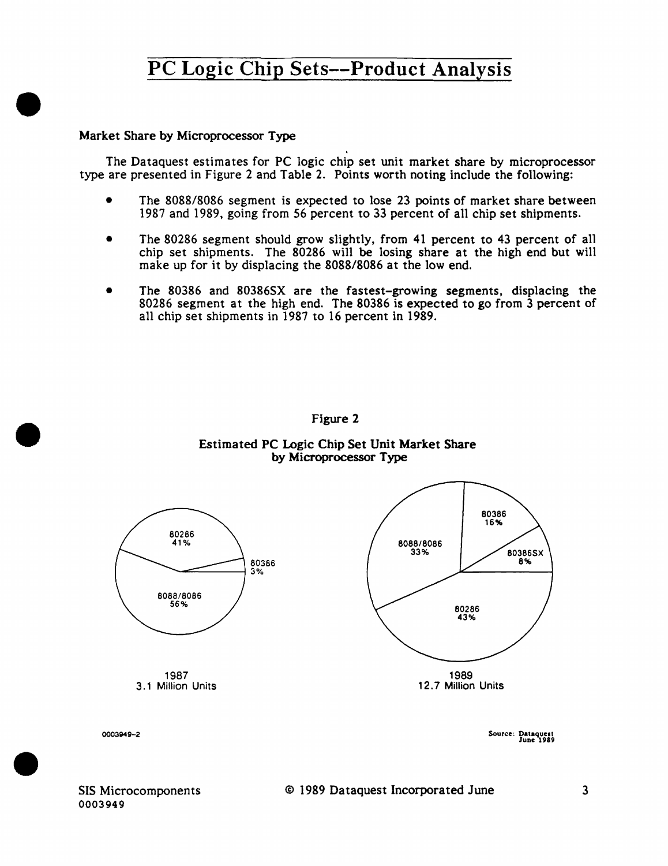### Market Share by Microprocessor Type

•

•

•

The Dataquest estimates for PC logic chip set unit market share by microprocessor type are presented in Figure 2 and Table 2. Points worth noting include the following:

- The 8088/8086 segment is expected to lose 23 points of market share between 1987 and 1989, going from 56 percent to 33 percent of all chip set shipments.
- The 80286 segment should grow slightly, from 41 percent to 43 percent of all chip set shipments. The 80286 will be losing share at the high end but will make up for it by displacing the 8088/8086 at the low end.
- The 80386 and 80386SX are the fastest-growing segments, displacing the 80286 segment at the high end. The 80386 is expected to go from 3 percent of all chip set shipments in 1987 to 16 percent in 1989.



Figure 2

#### Estimated PC Logic Chip Set Unit Market Share by Microprocessor Type

Source: Dataquest<br>June 1989

SIS Microcomponents 0003949

0003949-2

### © 1989 Dataquest Incorporated June 3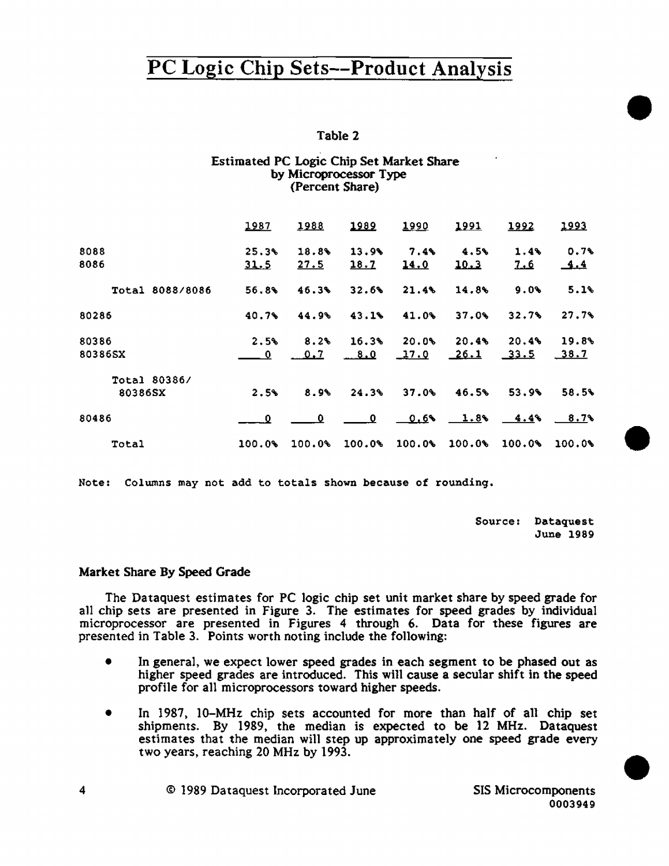### Table 2

#### Estimated PC Logic Chip Set Market Share by Microprocessor Type (Percent Share)

|                 | 1987      | 1988   | 1989                     | 1990        | 1991              | 1992    | 1993       |
|-----------------|-----------|--------|--------------------------|-------------|-------------------|---------|------------|
| 8088            | 25.3%     | 18.8%  | 13.9%                    | $7.4\%$     | 4.5%              | $1.4\%$ | 0.7%       |
| 8086            | 31.5      | 27.5   | 18.7                     | <u>14.0</u> | 10.3              | 7.6     | <u>4.4</u> |
| Total 8088/8086 | 56.8%     | 46.3%  | 32.6%                    | 21.4%       | 14.8%             | 9.0%    | 5.1%       |
| 80286           | 40.7%     | 44.9%  | 43.1%                    | 41.0%       | 37.0%             | 32.7%   | 27.7%      |
| 80386           | 2.5%      | 8.2%   | 16.3%                    | 20.0%       | 20.4%             | 20.4%   | 19.8%      |
| 80386SX         | $\bullet$ | 0.7    | 8.0                      | 17.0        | 26.1              | 33.5    | 38.7       |
| Total 80386/    |           |        |                          |             |                   |         |            |
| 80386SX         | 2.5%      | 8.9%   | 24.3%                    | 37.0%       | 46.5%             | 53.9%   | 58.5%      |
| 80486           | - 0       | 0      | $\overline{\phantom{0}}$ |             | $0.6$ $1.8$ $4.4$ |         | 8.7%       |
| Total           | 100.0%    | 100.0% | 100.0%                   | 100.0%      | 100.0             | 100.0%  | 100.08     |

Note: Columns may not add to totals shown because of rounding.

Source: Dataquest June 1989 •

•

•

#### Market Share By Speed Grade

The Dataquest estimates for PC logic chip set unit market share by speed grade for a11 chip sets are presented in Figure 3. The estimates for speed grades by individual microprocessor are presented in Figures 4 through 6. Data for these figures are presented in Table 3. Points worth noting include the following:

- In general, we expect lower speed grades in each segment to be phased out as higher speed grades are introduced. This will cause a secular shift in the speed profile for all microprocessors toward higher speeds.
- In 1987, 10-MHz chip sets accounted for more than half of all chip set shipments. By 1989, the median is expected to be 12 MHz. Dataquest estimates that the median will step up approximately one speed grade every two years, reaching 20 MHz by 1993.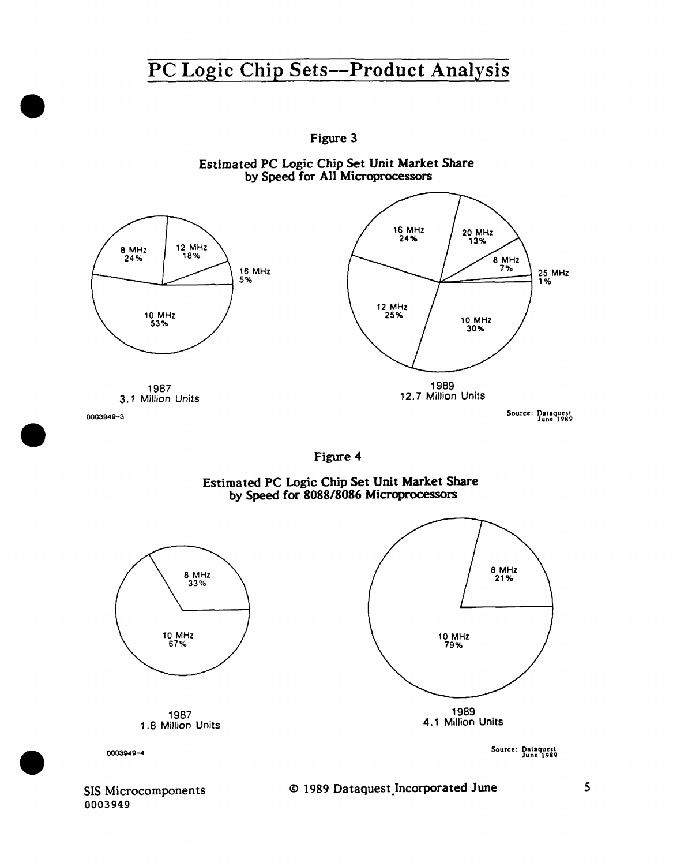Figure 3



Estimated PC Logic Chip Set Unit Market Share by Speed for All Microprocessors



### Estimated PC Logic Chip Set Unit Market Share by Speed for 8088/8086 Microprocessors



SIS Microcomponents 0003949

•

•

•

### © 1989 Dataquest.Jncorporated June 5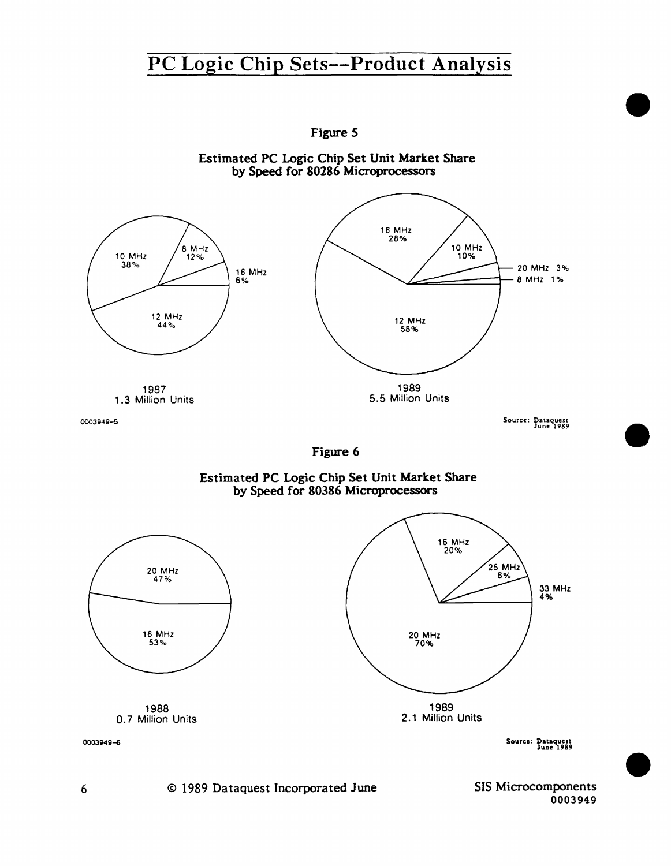

Figure 5

1989 2.1 Million Units

Source: Dataquest June 1989

•

•

•

6 © 1989 Dataquest Incorporated June SIS Microcomponents 0003949

00035149-6

1988 O. 7 Million Units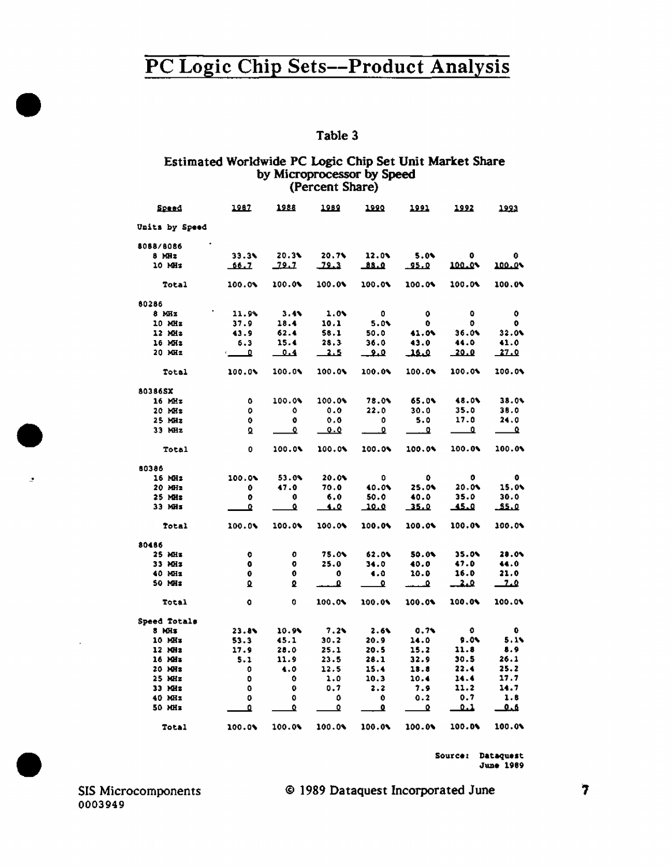# PC Logic Chip Sets--Product Analysis  $\frac{1}{2}$

### Estimated Worldwide PC Logic Chip Set Unit Market Share by Microprocessor by Speed (Percent Share)

| <b>Speed</b>   | 1987                    | 1988   | <u> 1989 </u> | 1990           | 1991        | 1992        | 1923                     |
|----------------|-------------------------|--------|---------------|----------------|-------------|-------------|--------------------------|
| Units by Speed |                         |        |               |                |             |             |                          |
| 8088/8086      |                         |        |               |                |             |             |                          |
| $8$ MHz        | 33.36                   | 20.31  | 20.7%         | 12.0%          | $5.0*$      | $\bullet$   | 0                        |
| 10 MHz         | 66.7                    | 12.1   | $-22.3$       | عنقف           | <u>95.0</u> | 100.0%      | 100.0%                   |
| <b>Total</b>   | 100.01                  | 100.0% | 100.0%        | 100.0%         | 100.0%      | 100.0%      | 100.0%                   |
| 80286          |                         |        |               |                |             |             |                          |
| $8$ MHz        | 11.94                   | 3.44   | 1.01          | $\blacksquare$ | $\bullet$   | $\bullet$   | $\bullet$                |
| 10 MHz         | 37.9                    | 18.4   | 10.1          | 5.0%           | $\bullet$   | о.          | ۰                        |
| $12$ MHz       | 43.9                    | 62.4   | 58.1          | 50.0           | 41.0%       | 36.0        | 32.0                     |
| 16 MHz         | 6.3                     | 15.4   | 28.3          | 36.0           | 43.0        | 44.0        | 41.0                     |
| $20$ MHz       | $\overline{\mathbf{a}}$ | 0.4    | $-2.5$        | معـ            | عنقف        | <u>20.0</u> | 27.0                     |
| Total          | 100.0%                  | 100.0% | 100.0%        | 100.0%         | 100.0%      | 100.0%      | 100.0%                   |
| 80386SX        |                         |        |               |                |             |             |                          |
| 16 MHz         | 0.                      | 100.0% | 100.0%        | 78.0%          | 65.0%       | 48.0%       | 38.0%                    |
| $20$ MHz       | 0                       | ٥      | 0.0           | 22.0           | 30.0        | 35.0        | 38.0                     |
| $25$ MHz       | 0.                      | ۰      | 0.0           | 0              | 5.0         | 17.0        | 24.0                     |
| $33$ MHz       | Q.                      | ≏      | 0.0           | ₽              | ᅽ           | ▁◘          | $\overline{\phantom{a}}$ |
| Total          | 0.                      | 100.0% | 100.0%        | 100.0%         | 100.0%      | 100.0%      | 100.0%                   |
| 80386          |                         |        |               |                |             |             |                          |
| 16 MHz         | 100.01                  | 53.04  | 20.0%         | ٥              | ۰           | ۰           | $\bullet$                |
| $20$ MHz       | 0.                      | 47.0   | 70.0          | 40.0%          | 25.0%       | 20.0%       | 15.0%                    |
| $25$ MHz       | 0                       | 0      | 6.0           | 50.0           | 40.0        | 35.0        | 30.0                     |
| 33 MHz         | ۰                       | ≏      | <u>1.0</u>    | <u>10.0</u>    | <u>35.0</u> | فتقف        | عنقف                     |
| Total          | 100.0%                  | 100.0% | 100.0%        | 100.0%         | 100.0%      | 100.04      | 100.0%                   |
| 80486          |                         |        |               |                |             |             |                          |
| 25 MHz         | $\bullet$               | 0      | 75.0%         | 62.0%          | 50.0%       | 35.0%       | 28.0%                    |
| 33 MHz         | $\bullet$               | ۰      | 25.0          | 34.0           | 40.0        | 47.0        | 44.0                     |
| 40 MHz         | $\mathbf{0}$            | 0      | 0             | 4.0            | 10.0        | 16.0        | 21.0                     |
| 50 MHz         | Q.                      | ₽      | ₽             | ≏              | ₽           | فبقا        | 7.0                      |
| Total          | $\bullet$               | 0      | 100.01        | 100.0%         | 100.04      | 100.0%      | 100.0%                   |
| Speed Totals   |                         |        |               |                |             |             |                          |
| 8 MHz          | 23.8%                   | 10.9%  | 7.2           | 2.6%           | 0.74        | $\bullet$   | $\bullet$                |
| 10 MHz         | 53.3                    | 45.1   | 30.2          | 20.9           | 14.0        | $9.0\%$     | 5.15                     |
| 12 MHz         | 17.9                    | 20.0   | 25.1          | 20.5           | 15.2        | 11.8        | 8.9                      |
| 16 МН з        | 5.1                     | 11.9   | 23.5          | 28.1           | 32.9        | 30.5        | 26.1                     |
| 20 MHz         | 0                       | 4.0    | 12.5          | 15.4           | 13.8        | 22.4        | 25.2                     |
| $25$ MHz       | ۰                       | ٥      | 1.0           | 10.3           | 10.4        | 14.4        | 17.7                     |
| 33 MHz         | ٥                       | ٥      | 0.7           | 2.2            | 7.9         | 11.2        | 14.7                     |
| 40 MHz         | 0                       | 0      | 0             | 0              | 0.2         | 0.7         | 1.6                      |
| 50 MHz         | ٥                       | ٥      | 0             | ◐              | Ω           | 1.1         | عمف                      |
| Total          | 100.0%                  | 100.0% | 100.0%        | 100.01         | 100.09      | 100.0%      | 100.0%                   |

June 1989

Source: Dataquest<br>
SIS Microcomponents<br>
0 1989 Dataquest Incorporated June<br>
0003949 0003949

### SIS Microcomponents © 1989 Dataquest Incorporated June 17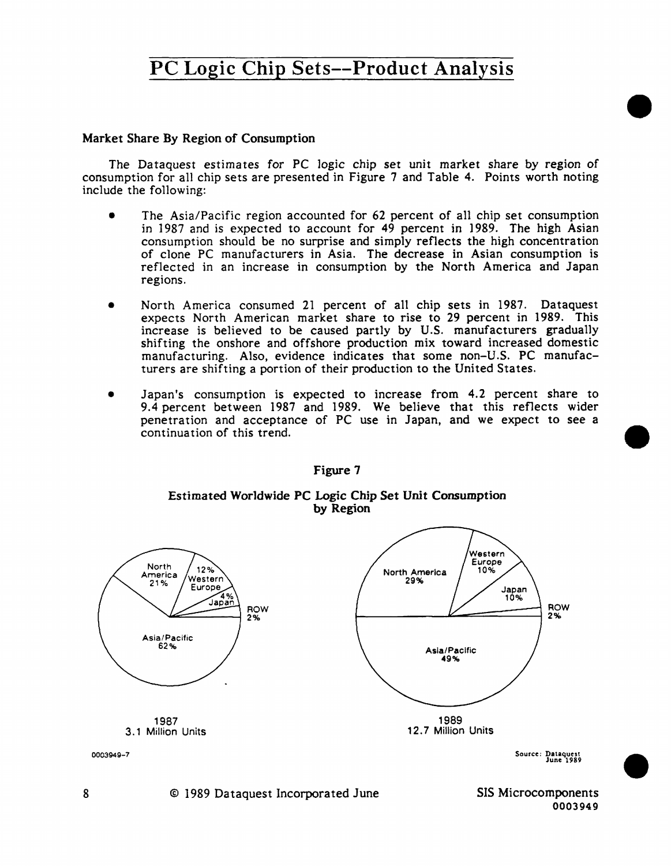### Market Share By Region of Consumption

The Dataquest estimates for PC logic chip set unit market share by region of consumption for all chip sets are presented in Figure 7 and Table 4. Points worth noting include the following:

- The Asia/Pacific region accounted for 62 percent of all chip set consumption in 1987 and is expected to account for 49 percent in 1989. The high Asian consumption should be no surprise and simply reflects the high concentration of clone PC manufacturers in Asia. The decrease in Asian consumption is reflected in an increase in consumption by the North America and Japan regions.
- North America consumed 21 percent of all chip sets in 1987. Dataquest expects North American market share to rise to 29 percent in 1989. This increase is believed to be caused partly by U.S. manufacturers gradually shifting the onshore and offshore production mix toward increased domestic manufacturing. Also, evidence indicates that some non-U.S. PC manufacturers are shifting a portion of their production to the United States.
- Japan's consumption is expected to increase from 4.2 percent share to 9.4 percent between 1987 and 1989. We believe that this reflects wider penetration and acceptance of PC use in Japan, and we expect to see a continuation of this trend.



Figure 7

### Estimated Worldwide PC Logic Chip Set Unit Consumption by Region

•

•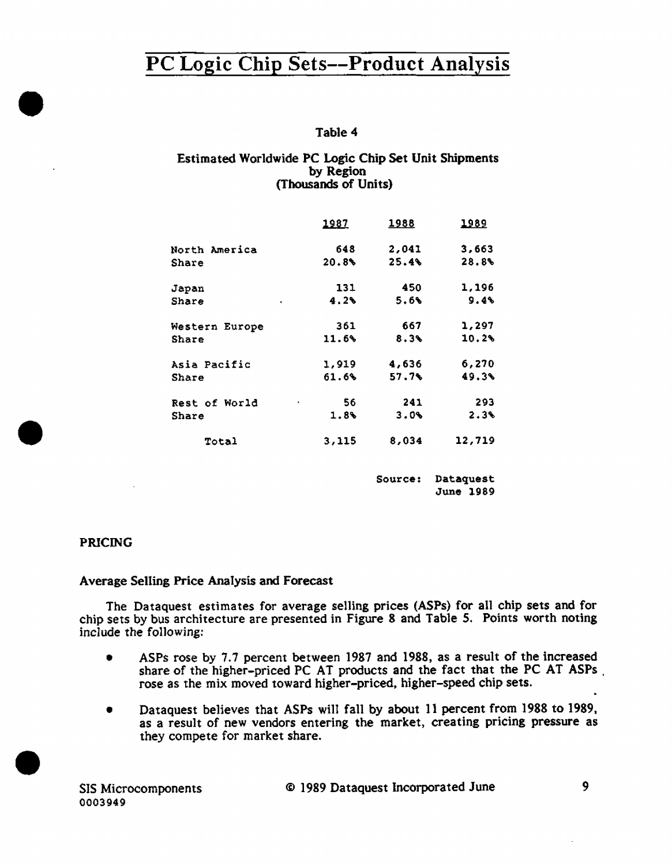### Table 4

#### Estimated Worldwide PC Logic Chip Set Unit Shipments by Region (Thousands of Units)

|                      | 1987    | <u> 1988 </u> | <u> 1989</u> |
|----------------------|---------|---------------|--------------|
| North America        | 648     | 2,041         | 3,663        |
| <b>Share</b>         | 20.8%   | 25.4%         | 28.8%        |
| Japan                | 131     | 450           | 1,196        |
| Share<br>¥.          | 4.2%    | 5.6%          | 9.4%         |
| Western Europe       | 361     | 667           | 1,297        |
| Share                | 11.6%   | 8.3%          | 10.2%        |
| Asia Pacific         | 1,919   | 4,636         | 6,270        |
| Share                | 61.6%   | 57.7%         | 49.3%        |
| <b>Rest of World</b> | 56<br>٠ | 241           | 293          |
| Share                | 1.8%    | $3.0\%$       | 2.3%         |
| Total                | 3,115   | 8,034         | 12,719       |
|                      |         |               |              |

Source: Dataquest June 1989

### PRICING

•

•

•

#### Average Selling Price Analysis and Forecast

The Dataquest estimates for average selling prices (ASPs) for all chip sets and for chip sets by bus architecture are presented in Figure 8 and Table *5.* Points worth noting include the fo11owing:

- ASPs rose by 7.7 percent between 1987 and 1988, as a result of the increased share of the higher-priced PC AT products and the fact that the PC AT ASPs . rose as the mix moved toward higher-priced. higher-speed chip sets.
- Dataquest believes that ASPs will fall by about 11 percent from 1988 to 1989, as a result of new vendors entering the market, creating pricing pressure as they compete for market share.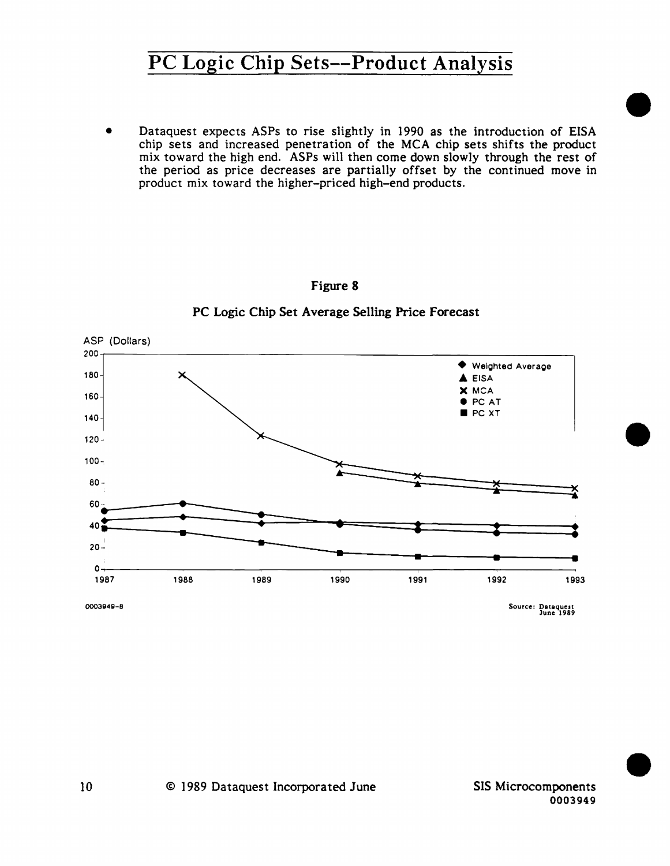Dataquest expects ASPs to rise slightly in 1990 as the introduction of EISA chip sets and increased penetration of the MCA chip sets shifts the product mix toward the high end. ASPs will then come down slowly through the rest of the period as price decreases are partially offset by the continued move in product mix toward the higher-priced high-end products.



Figure **8** 

### PC Logic Chip Set Average Selling Price Forecast

•

•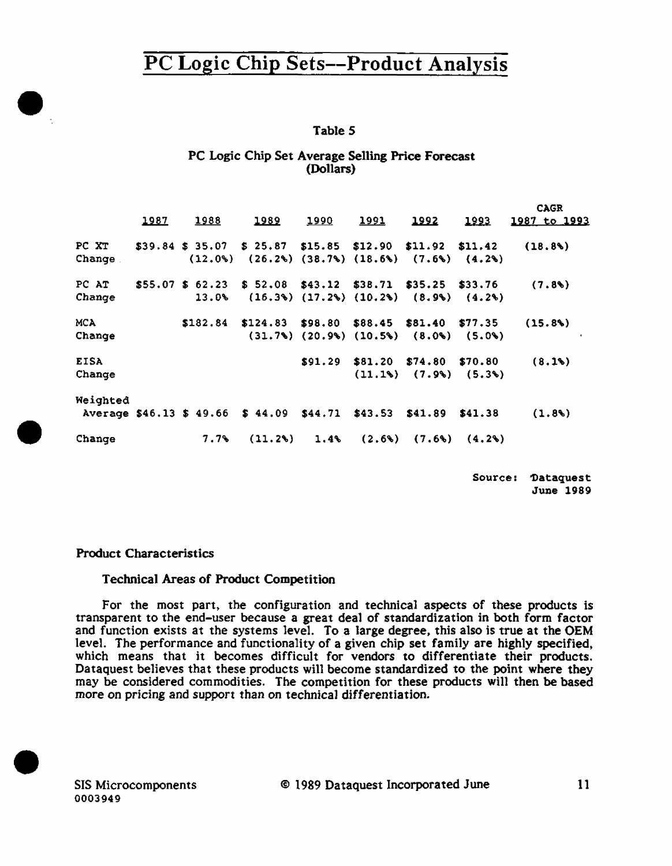### Table *5*

#### PC Logic Chip Set Average Selling Price Forecast (Dollars)

|             |      |                    |                                                                                                           |         |         |                                                      |               | <b>CAGR</b>    |
|-------------|------|--------------------|-----------------------------------------------------------------------------------------------------------|---------|---------|------------------------------------------------------|---------------|----------------|
|             | 1987 | 1988               | 1989                                                                                                      | 1990    | 1991    | 1992                                                 | <u> 1993 </u> | 1987 to 1993   |
| PC XT       |      |                    | $$39.84 \text{ $35.07$} \text{ $5.25.87$} \text{ $15.85$} \text{ $12.90$} \text{ $11.92$} \text{ $11.42}$ |         |         |                                                      |               | (18.8)         |
| Change.     |      |                    | $(12.0\%)$ $(26.2\%)$ $(38.7\%)$ $(18.6\%)$ $(7.6\%)$ $(4.2\%)$                                           |         |         |                                                      |               |                |
| PC AT       |      | $$55.07$$ \$ 62.23 | $$52.08$ $$43.12$ $$38.71$ $$35.25$ $$33.76$                                                              |         |         |                                                      |               | (7.8)          |
| Change      |      | 13.0%              |                                                                                                           |         |         | $(16.3\%)$ $(17.2\%)$ $(10.2\%)$ $(8.9\%)$ $(4.2\%)$ |               |                |
| MCA         |      | \$182.84           | $$124.83$ \$98.80 \$88.45 \$81.40 \$77.35                                                                 |         |         |                                                      |               | (15.8%)        |
| Change      |      |                    |                                                                                                           |         |         | $(31.7\%)$ $(20.9\%)$ $(10.5\%)$ $(8.0\%)$ $(5.0\%)$ |               | $\blacksquare$ |
| <b>EISA</b> |      |                    |                                                                                                           | \$91.29 | \$81.20 | \$74.80                                              | \$70.80       | (8.1%)         |
| Change      |      |                    |                                                                                                           |         |         | $(11.18)$ $(7.9%)$ $(5.3%)$                          |               |                |
| Weighted    |      |                    |                                                                                                           |         |         |                                                      |               |                |
|             |      |                    | Average \$46.13 \$ 49.66 \$ 44.09 \$44.71                                                                 |         | \$43.53 | \$41.89                                              | \$41.38       | (1.8)          |
| Change      |      | $7.7\%$            | (11.2)                                                                                                    | 1.4%    |         | $(2.6\%)$ $(7.6\%)$ $(4.2\%)$                        |               |                |

Source: 'Dataquest June 1989

#### Product Characteristics

 $\bullet$ 

•

•

#### Technical Areas of Product Competition

For the most part, the configuration and technical aspects of these products is transparent to the end-user because a great deal of standardization in both form factor and function exists at the systems level. To a large degree, this also is true at the OEM level. The performance and functionality of a given chip set family are highly specified, which means that it becomes difficult for vendors to differentiate their products. Dataquest believes that these products will become standardized to the point where they may be considered commodities. The competition for these products will then be based more on pricing and support than on technical differentiation.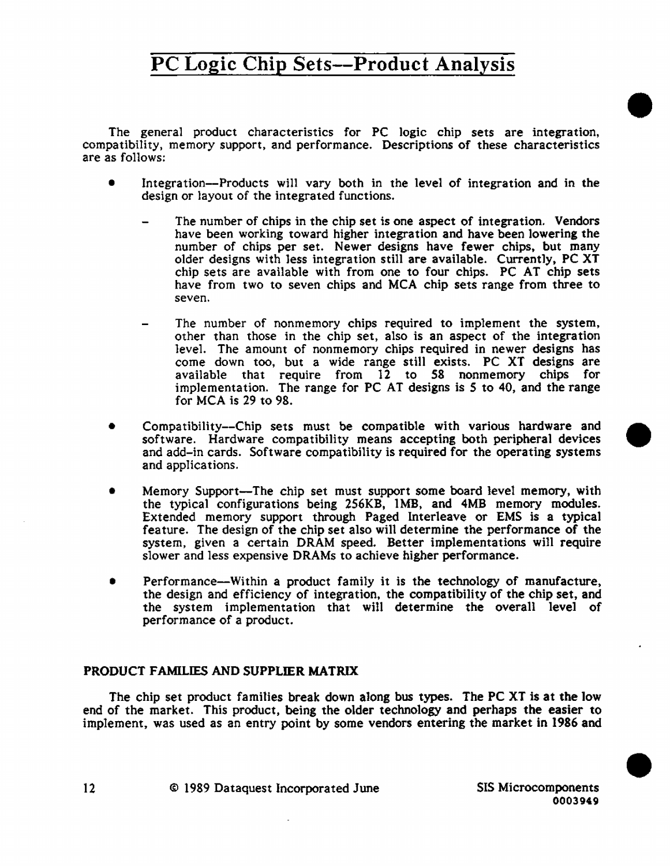The general product characteristics for PC logic chip sets are integration, compatibility, memory support, and performance. Descriptions of these characteristics are as follows:

- Integration--Products will vary both in the level of integration and in the design or layout of the integrated functions.
	- The number of chips in the chip set is one aspect of integration. Vendors have been working toward higher integration and have been lowering the number of chips per set. Newer designs have fewer chips. but many older designs with less integration still are available. Currently. PC XT chip sets are available with from one to four chips. PC AT chip sets have from two to seven chips and MCA chip sets range from three to seven.
	- The number of nonmemory chips required to implement the system, other than those in the chip set, also is an aspect of the integration leve1. The amount of nonmemory chips required in newer designs has come down too, but a wide range still exists. PC XT designs are available that require from 12 to *58* nonmemory chips for implementation. The range for PC AT designs is *S* to 40, and the range for MCA is 29 to 98.
- Compatibility-Chip sets must be compatible with various hardware and software. Hardware compatibility means accepting both peripheral devices and add-in cards. Software compatibility is required for the operating systems and applications.
- Memory Support-The chip set must support some board level memory, with the typical configurations being 256KB, lMB, and 4MB memory modules. Extended memory support through Paged Interleave or EMS is a typical feature. The design of the chip set also will determine the performance of the system, given a certain DRAM speed. Better implementations wi11 require slower and less expensive DRAMs to achieve higher performance.
- Performance-Within a product family it is the technology of manufacture, the design and efficiency of integration, the compatibility of the chip set, and the system implementation that will determine the overall level of performance of a product.

### PRODUCT FAMILIES AND SUPPLIER MATRIX

The chip set product families break down along bus types. The PC XT is at the low end of the market. This product, being the older technology and perhaps the easier to implement, was used as an entry point by some vendors entering the market in 1986 and

12 © 1989 Dataquest Incorporated June SIS Microcomponents

•

•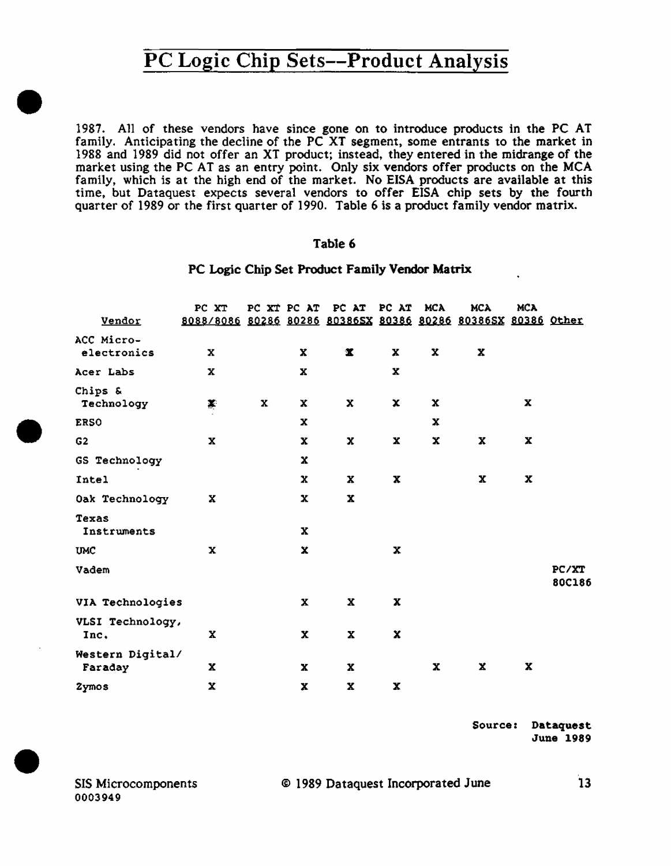1987. All of these vendors have since gone on to introduce products in the PC AT family. Anticipating the decline of the PC XT segment, some entrants to the market in 1988 and 1989 did not offer an XT product; instead, they entered in the midrange of the market using the PC AT as an entry point. Only six vendors offer products on the MCA family, which is at the high end of the market. No EISA products are available at this time, but Dataquest expects several vendors to offer EISA chip sets by the fourth quarter of 1989 or the first quarter of 1990. Table 6 is a product family vendor matrix.

#### Table 6

#### PC Logic Chip Set Product Family Vendor Matrix

|                             | PC XT                                                         |   |              | PC XT PC AT PC AT PC AT |             | MCA         | <b>MCA</b>                | <b>MCA</b>  |                 |
|-----------------------------|---------------------------------------------------------------|---|--------------|-------------------------|-------------|-------------|---------------------------|-------------|-----------------|
| Vendor                      | 8088/8086 80286 80286 803865X 80386 80286 803865X 80386 Other |   |              |                         |             |             |                           |             |                 |
| ACC Micro-<br>electronics   | x                                                             |   | $\mathbf x$  | $\pmb{\mathbb{X}}$      | x           | X           | $\boldsymbol{\mathrm{x}}$ |             |                 |
| Acer Labs                   | $\mathbf x$                                                   |   | x            |                         | $\mathbf x$ |             |                           |             |                 |
| Chips &<br>Technology       | ¥                                                             | x | x            | $\mathbf x$             | $\mathbf x$ | $\mathbf x$ |                           | $\mathbf x$ |                 |
| <b>ERSO</b>                 |                                                               |   | x            |                         |             | x           |                           |             |                 |
| G <sub>2</sub>              | x                                                             |   | x            | x                       | x           | $\mathbf x$ | $\mathbf x$               | $\mathbf x$ |                 |
| GS Technology               |                                                               |   | x            |                         |             |             |                           |             |                 |
| Intel                       |                                                               |   | $\mathbf x$  | $\mathbf x$             | $\mathbf x$ |             | x                         | $\mathbf x$ |                 |
| Oak Technology              | x                                                             |   | $\mathbf x$  | $\mathbf x$             |             |             |                           |             |                 |
| Texas<br>Instruments        |                                                               |   | $\mathbf x$  |                         |             |             |                           |             |                 |
| <b>UMC</b>                  | x                                                             |   | $\mathbf x$  |                         | x           |             |                           |             |                 |
| Vadem                       |                                                               |   |              |                         |             |             |                           |             | PC/XT<br>80C186 |
| VIA Technologies            |                                                               |   | $\mathbf x$  | х                       | x           |             |                           |             |                 |
| VLSI Technology,<br>Inc.    | x                                                             |   | X            | X                       | $\mathbf x$ |             |                           |             |                 |
| Western Digital/<br>Faraday | $\mathbf x$                                                   |   | $\mathbf{x}$ | $\mathbf x$             |             | $\mathbf x$ | $\mathbf x$               | $\mathbf x$ |                 |
| 2ymos                       | $\mathbf x$                                                   |   | x            | $\mathbf x$             | X           |             |                           |             |                 |

Source: Dataquest June 1989

SIS Microcomponents 0003949

•

•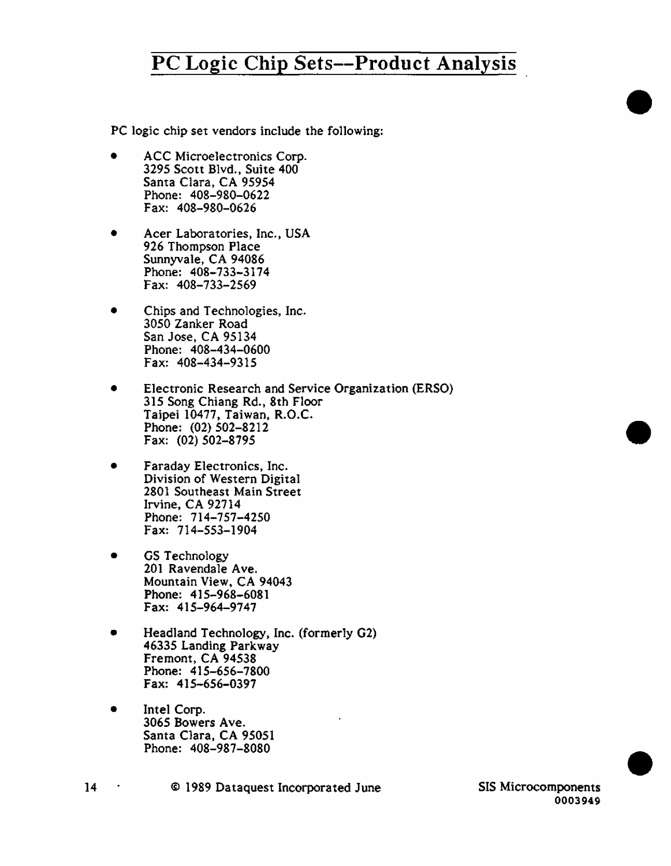PC logic chip set vendors include the following:

- ACC Microelectronics Corp. 3295 Scott Blvd., Suite 400 Santa Clara, CA 95954 Phone: 408-980-0622 Fax: 408-980-0626
- Acer Laboratories, Inc., USA 926 Thompson Place Sunnyvale, CA 94086 Phone: 408-733-3174 Fax: 408-733-2569
- Chips and Technologies, Inc. 3050 Zanker Road San Jose, CA 95134 Phone: 408-434-0600 Fax: 408-434-9315
- Electronic Research and Service Organization (ERSO) 315 Song Chiang Rd., 8th Floor Taipei 10477, Taiwan, R.O.C. Phone: (02) 502-8212 Fax: (02) 502-8795
- Faraday Electronics, Inc. Division of Western Digital 2801 Southeast Main Street Irvine, CA 92714 Phone: 714-757-4250 Fax: 714-553-1904
- GS Technology 201 Ravendale Ave. Mountain View, CA 94043 Phone: 415-968-6081 Fax: 415-964-9747
- Headland Technology, Inc. (formerly G2) 46335 Landing Parkway Fremont, CA 94538 Phone: 415-656-7800 Fax: 415-656-0397
- Intel Corp.<br>3065 Bowers Ave. Santa Clara, CA 95051 Phone: 408-987-8080

14 © 1989 Dataquest Incorporated June SIS Microcomponents •

•